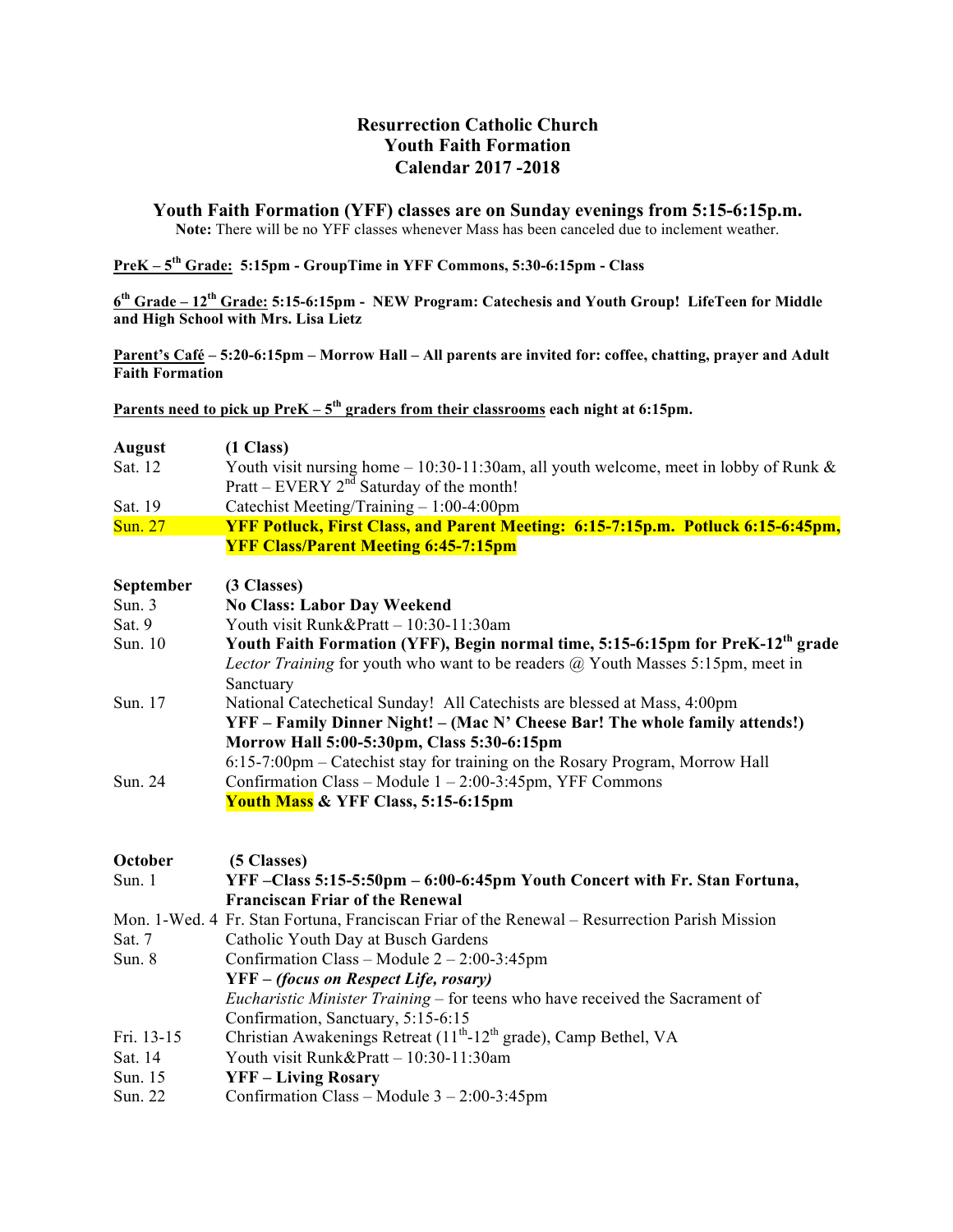## **Resurrection Catholic Church Youth Faith Formation Calendar 2017 -2018**

## **Youth Faith Formation (YFF) classes are on Sunday evenings from 5:15-6:15p.m.**

Note: There will be no YFF classes whenever Mass has been canceled due to inclement weather.

**PreK – 5th Grade: 5:15pm - GroupTime in YFF Commons, 5:30-6:15pm - Class**

**6th Grade – 12th Grade: 5:15-6:15pm - NEW Program: Catechesis and Youth Group! LifeTeen for Middle and High School with Mrs. Lisa Lietz**

**Parent's Café – 5:20-6:15pm – Morrow Hall – All parents are invited for: coffee, chatting, prayer and Adult Faith Formation** 

**Parents need to pick up PreK – 5th graders from their classrooms each night at 6:15pm.**

| August<br>Sat. 12 | (1 Class)<br>Youth visit nursing home $-10:30-11:30$ am, all youth welcome, meet in lobby of Runk & |
|-------------------|-----------------------------------------------------------------------------------------------------|
|                   | Pratt – EVERY $2nd$ Saturday of the month!                                                          |
| Sat. 19           | Catechist Meeting/Training - 1:00-4:00pm                                                            |
| <b>Sun. 27</b>    | YFF Potluck, First Class, and Parent Meeting: 6:15-7:15p.m. Potluck 6:15-6:45pm,                    |
|                   | <b>YFF Class/Parent Meeting 6:45-7:15pm</b>                                                         |
|                   |                                                                                                     |
| September         | (3 Classes)                                                                                         |
| Sun. $3$          | <b>No Class: Labor Day Weekend</b>                                                                  |
| Sat. 9            | Youth visit Runk&Pratt - 10:30-11:30am                                                              |
| Sun. 10           | Youth Faith Formation (YFF), Begin normal time, 5:15-6:15pm for PreK-12 <sup>th</sup> grade         |
|                   | Lector Training for youth who want to be readers @ Youth Masses 5:15pm, meet in                     |
|                   | Sanctuary                                                                                           |
| Sun. 17           | National Catechetical Sunday! All Catechists are blessed at Mass, 4:00pm                            |
|                   | YFF – Family Dinner Night! – (Mac N' Cheese Bar! The whole family attends!)                         |
|                   | Morrow Hall 5:00-5:30pm, Class 5:30-6:15pm                                                          |
|                   | 6:15-7:00pm – Catechist stay for training on the Rosary Program, Morrow Hall                        |
| Sun. 24           | Confirmation Class - Module 1 - 2:00-3:45pm, YFF Commons                                            |
|                   | Youth Mass & YFF Class, 5:15-6:15pm                                                                 |
| October           | (5 Classes)                                                                                         |
| Sun. 1            | YFF-Class 5:15-5:50pm - 6:00-6:45pm Youth Concert with Fr. Stan Fortuna,                            |
|                   | <b>Franciscan Friar of the Renewal</b>                                                              |
|                   | Mon. 1-Wed. 4 Fr. Stan Fortuna, Franciscan Friar of the Renewal - Resurrection Parish Mission       |
| Sat. 7            | Catholic Youth Day at Busch Gardens                                                                 |
| Sun. 8            | Confirmation Class – Module $2 - 2:00 - 3:45$ pm                                                    |
|                   | YFF - (focus on Respect Life, rosary)                                                               |
|                   | Eucharistic Minister Training – for teens who have received the Sacrament of                        |
|                   | Confirmation, Sanctuary, 5:15-6:15                                                                  |
| Fri. 13-15        | Christian Awakenings Retreat (11 <sup>th</sup> -12 <sup>th</sup> grade), Camp Bethel, VA            |
| Sat. 14           | Youth visit Runk&Pratt - 10:30-11:30am                                                              |
| Sun. 15           | <b>YFF-Living Rosary</b>                                                                            |
| Sun. 22           | Confirmation Class – Module $3 - 2:00 - 3:45$ pm                                                    |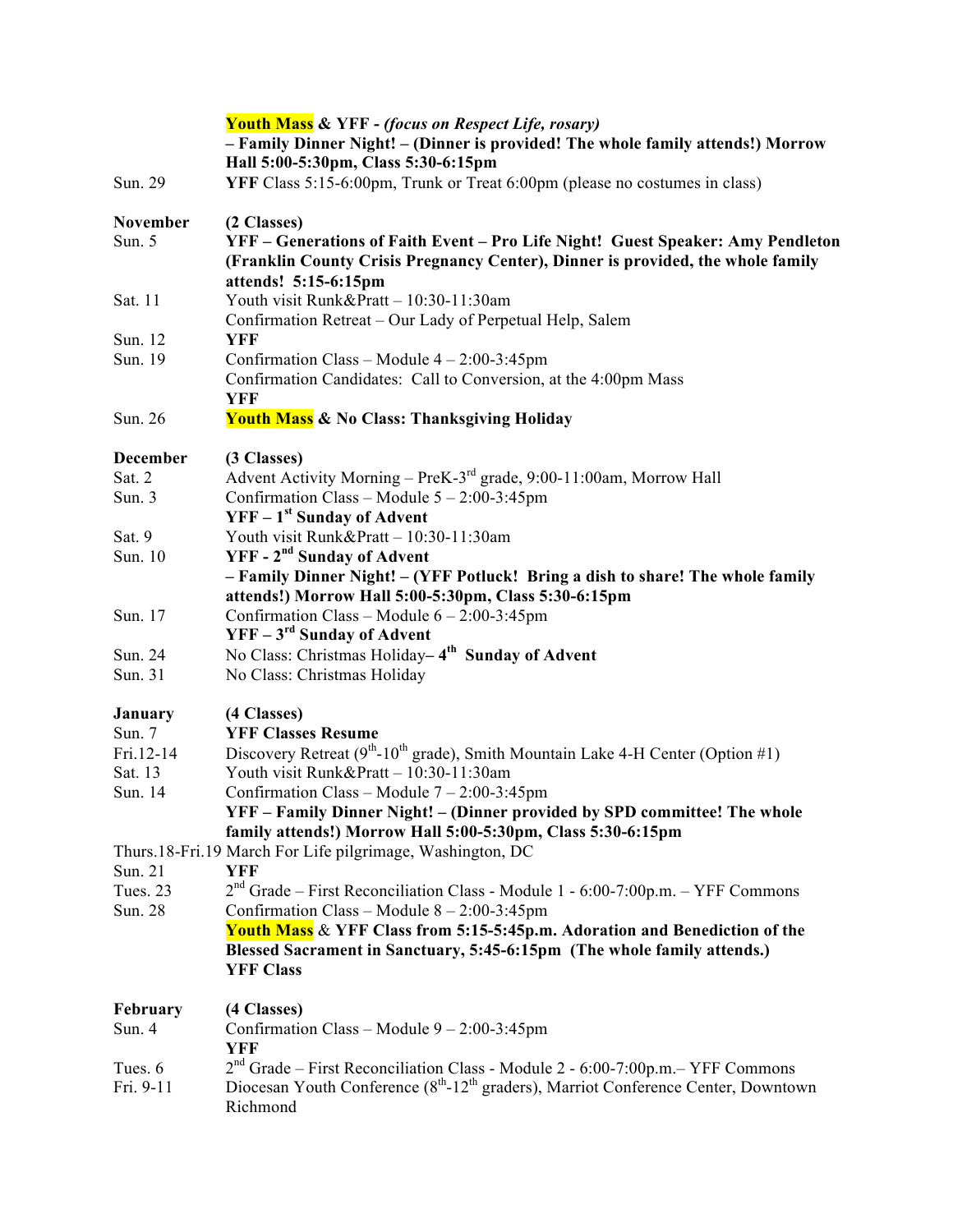|                                                      | <b>Youth Mass &amp; YFF</b> - (focus on Respect Life, rosary)<br>- Family Dinner Night! - (Dinner is provided! The whole family attends!) Morrow<br>Hall 5:00-5:30pm, Class 5:30-6:15pm                                                                                                                                                                                                                                                                      |
|------------------------------------------------------|--------------------------------------------------------------------------------------------------------------------------------------------------------------------------------------------------------------------------------------------------------------------------------------------------------------------------------------------------------------------------------------------------------------------------------------------------------------|
| Sun. 29                                              | YFF Class 5:15-6:00pm, Trunk or Treat 6:00pm (please no costumes in class)                                                                                                                                                                                                                                                                                                                                                                                   |
| <b>November</b><br>Sun. $5$                          | (2 Classes)<br>YFF - Generations of Faith Event - Pro Life Night! Guest Speaker: Amy Pendleton<br>(Franklin County Crisis Pregnancy Center), Dinner is provided, the whole family<br>attends! 5:15-6:15pm                                                                                                                                                                                                                                                    |
| Sat. 11                                              | Youth visit Runk&Pratt - 10:30-11:30am<br>Confirmation Retreat – Our Lady of Perpetual Help, Salem                                                                                                                                                                                                                                                                                                                                                           |
| Sun. 12<br>Sun. 19                                   | YFF<br>Confirmation Class – Module $4 - 2:00 - 3:45$ pm<br>Confirmation Candidates: Call to Conversion, at the 4:00pm Mass<br><b>YFF</b>                                                                                                                                                                                                                                                                                                                     |
| Sun. 26                                              | <b>Youth Mass &amp; No Class: Thanksgiving Holiday</b>                                                                                                                                                                                                                                                                                                                                                                                                       |
| December<br>Sat. 2<br>Sun. 3                         | (3 Classes)<br>Advent Activity Morning - PreK-3 <sup>rd</sup> grade, 9:00-11:00am, Morrow Hall<br>Confirmation Class - Module $5 - 2:00 - 3:45$ pm<br>$YFF - 1st$ Sunday of Advent                                                                                                                                                                                                                                                                           |
| Sat. 9<br>Sun. 10                                    | Youth visit Runk&Pratt - 10:30-11:30am<br>YFF - 2 <sup>nd</sup> Sunday of Advent<br>- Family Dinner Night! - (YFF Potluck! Bring a dish to share! The whole family<br>attends!) Morrow Hall 5:00-5:30pm, Class 5:30-6:15pm                                                                                                                                                                                                                                   |
| Sun. 17                                              | Confirmation Class - Module $6 - 2:00 - 3:45$ pm<br>YFF - 3rd Sunday of Advent                                                                                                                                                                                                                                                                                                                                                                               |
| Sun. 24<br>Sun. 31                                   | No Class: Christmas Holiday-4 <sup>th</sup> Sunday of Advent<br>No Class: Christmas Holiday                                                                                                                                                                                                                                                                                                                                                                  |
| January<br>Sun. 7<br>Fri.12-14<br>Sat. 13<br>Sun. 14 | (4 Classes)<br><b>YFF Classes Resume</b><br>Discovery Retreat ( $9^{th}$ -10 <sup>th</sup> grade), Smith Mountain Lake 4-H Center (Option #1)<br>Youth visit Runk&Pratt - 10:30-11:30am<br>Confirmation Class - Module 7 - 2:00-3:45pm<br>YFF - Family Dinner Night! - (Dinner provided by SPD committee! The whole                                                                                                                                          |
| Sun. 21<br>Tues. 23<br>Sun. 28                       | family attends!) Morrow Hall 5:00-5:30pm, Class 5:30-6:15pm<br>Thurs.18-Fri.19 March For Life pilgrimage, Washington, DC<br><b>YFF</b><br>$2nd$ Grade – First Reconciliation Class - Module 1 - 6:00-7:00p.m. – YFF Commons<br>Confirmation Class – Module $8 - 2:00 - 3:45$ pm<br>Youth Mass & YFF Class from 5:15-5:45p.m. Adoration and Benediction of the<br>Blessed Sacrament in Sanctuary, 5:45-6:15pm (The whole family attends.)<br><b>YFF Class</b> |
| February<br>Sun. 4                                   | (4 Classes)<br>Confirmation Class – Module $9 - 2:00 - 3:45$ pm<br><b>YFF</b>                                                                                                                                                                                                                                                                                                                                                                                |
| Tues. 6<br>Fri. 9-11                                 | $2nd$ Grade – First Reconciliation Class - Module 2 - 6:00-7:00p.m.– YFF Commons<br>Diocesan Youth Conference (8 <sup>th</sup> -12 <sup>th</sup> graders), Marriot Conference Center, Downtown<br>Richmond                                                                                                                                                                                                                                                   |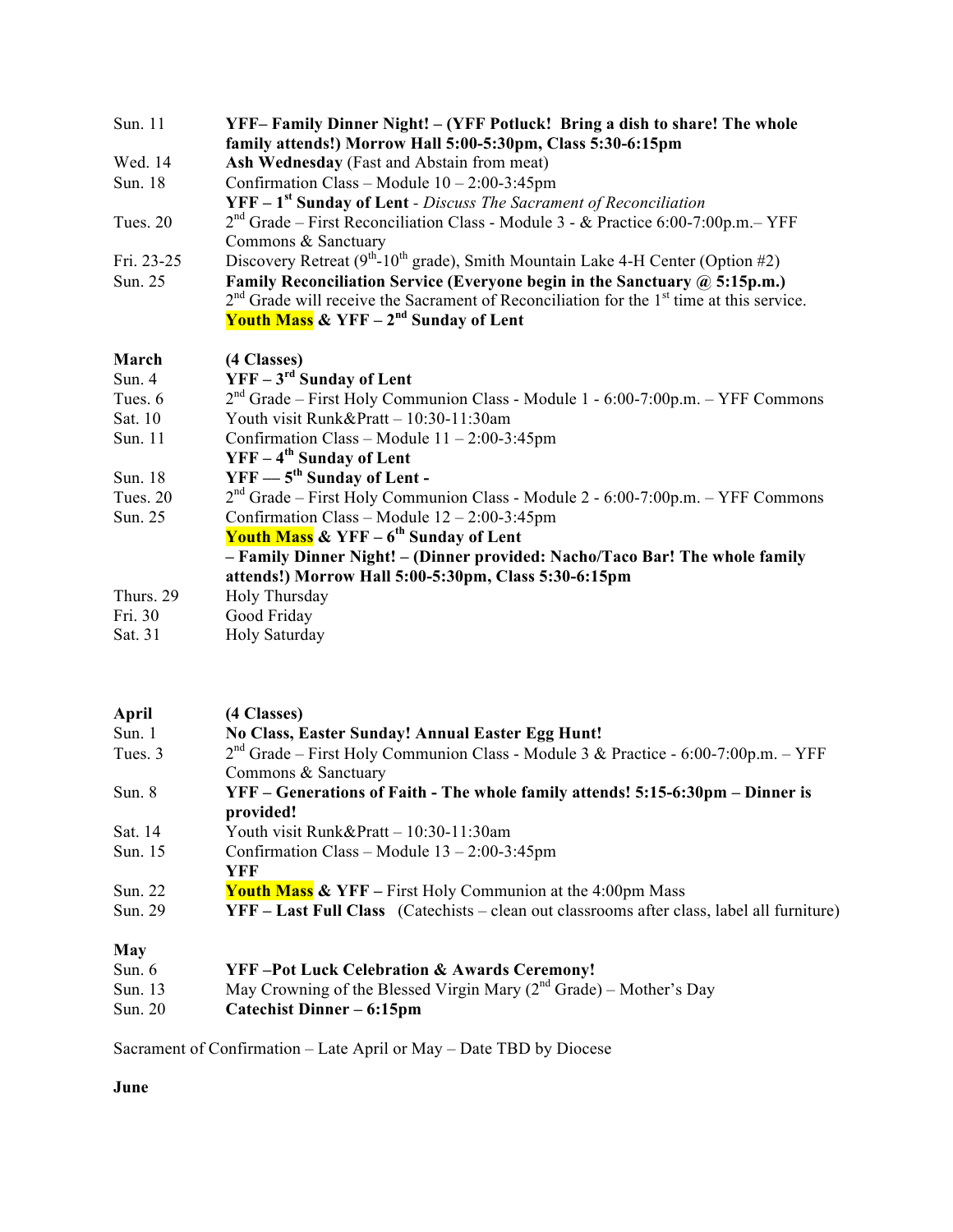| Sun. 11    | YFF-Family Dinner Night! - (YFF Potluck! Bring a dish to share! The whole                              |
|------------|--------------------------------------------------------------------------------------------------------|
|            | family attends!) Morrow Hall 5:00-5:30pm, Class 5:30-6:15pm                                            |
| Wed. 14    | Ash Wednesday (Fast and Abstain from meat)                                                             |
| Sun. 18    | Confirmation Class - Module $10 - 2:00 - 3:45$ pm                                                      |
|            | <b>YFF</b> - 1 <sup>st</sup> Sunday of Lent - Discuss The Sacrament of Reconciliation                  |
| Tues. 20   | $2nd$ Grade – First Reconciliation Class - Module 3 - & Practice 6:00-7:00p.m.– YFF                    |
|            | Commons & Sanctuary                                                                                    |
| Fri. 23-25 | Discovery Retreat $(9^{th} - 10^{th})$ grade), Smith Mountain Lake 4-H Center (Option #2)              |
| Sun. 25    | Family Reconciliation Service (Everyone begin in the Sanctuary @ 5:15p.m.)                             |
|            | $2nd$ Grade will receive the Sacrament of Reconciliation for the 1 <sup>st</sup> time at this service. |
|            | <b>Youth Mass &amp; YFF</b> $-2^{nd}$ Sunday of Lent                                                   |
| March      | (4 Classes)                                                                                            |
| Sun.4      | $YFF - 3rd$ Sunday of Lent                                                                             |
| Tues. 6    | 2 <sup>nd</sup> Grade – First Holy Communion Class - Module 1 - 6:00-7:00p.m. – YFF Commons            |
| Sat. 10    | Youth visit Runk&Pratt - 10:30-11:30am                                                                 |
| Sun. 11    | Confirmation Class – Module $11 - 2:00 - 3:45$ pm                                                      |
|            | $YFF - 4th$ Sunday of Lent                                                                             |
| Sun. 18    | $YFF = 5th$ Sunday of Lent -                                                                           |
| Tues. 20   | $2nd$ Grade – First Holy Communion Class - Module 2 - 6:00-7:00p.m. – YFF Commons                      |
| Sun. 25    | Confirmation Class - Module $12 - 2:00 - 3:45$ pm                                                      |
|            | <b>Youth Mass &amp; YFF</b> – $6th$ Sunday of Lent                                                     |
|            | - Family Dinner Night! - (Dinner provided: Nacho/Taco Bar! The whole family                            |
|            | attends!) Morrow Hall 5:00-5:30pm, Class 5:30-6:15pm                                                   |
| Thurs. 29  | Holy Thursday                                                                                          |
| Fri. 30    | Good Friday                                                                                            |
| Sat. 31    | Holy Saturday                                                                                          |

| (4 Classes)                                                                                |
|--------------------------------------------------------------------------------------------|
| No Class, Easter Sunday! Annual Easter Egg Hunt!                                           |
| $2nd$ Grade – First Holy Communion Class - Module 3 & Practice - 6:00-7:00p.m. – YFF       |
| Commons & Sanctuary                                                                        |
| YFF – Generations of Faith - The whole family attends! 5:15-6:30pm – Dinner is             |
| provided!                                                                                  |
| Youth visit Runk&Pratt $-10:30-11:30$ am                                                   |
| Confirmation Class – Module $13 - 2:00 - 3:45$ pm                                          |
| YFF                                                                                        |
| <b>Youth Mass &amp; YFF</b> – First Holy Communion at the 4:00pm Mass                      |
| YFF – Last Full Class (Catechists – clean out classrooms after class, label all furniture) |
|                                                                                            |
| <b>YFF-Pot Luck Celebration &amp; Awards Ceremony!</b>                                     |
| May Crowning of the Blessed Virgin Mary $(2^{nd}$ Grade) – Mother's Day                    |
| Catechist Dinner – 6:15pm                                                                  |
|                                                                                            |

Sacrament of Confirmation – Late April or May – Date TBD by Diocese

**June**